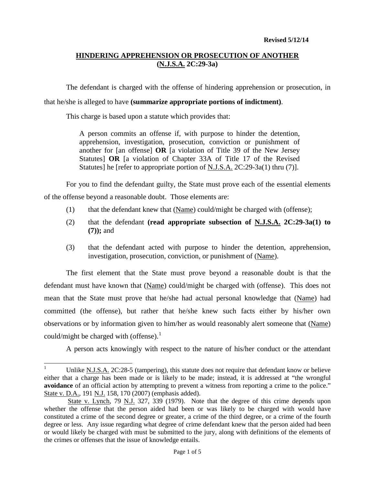The defendant is charged with the offense of hindering apprehension or prosecution, in

## that he/she is alleged to have **(summarize appropriate portions of indictment)**.

This charge is based upon a statute which provides that:

A person commits an offense if, with purpose to hinder the detention, apprehension, investigation, prosecution, conviction or punishment of another for [an offense] **OR** [a violation of Title 39 of the New Jersey Statutes] **OR** [a violation of Chapter 33A of Title 17 of the Revised Statutes] he [refer to appropriate portion of N.J.S.A. 2C:29-3a(1) thru (7)].

For you to find the defendant guilty, the State must prove each of the essential elements of the offense beyond a reasonable doubt. Those elements are:

- (1) that the defendant knew that (Name) could/might be charged with (offense);
- (2) that the defendant **(read appropriate subsection of N.J.S.A. 2C:29-3a(1) to (7));** and
- (3) that the defendant acted with purpose to hinder the detention, apprehension, investigation, prosecution, conviction, or punishment of (Name).

The first element that the State must prove beyond a reasonable doubt is that the defendant must have known that (Name) could/might be charged with (offense). This does not mean that the State must prove that he/she had actual personal knowledge that (Name) had committed (the offense), but rather that he/she knew such facts either by his/her own observations or by information given to him/her as would reasonably alert someone that (Name) could/might be charged with (offense). $<sup>1</sup>$  $<sup>1</sup>$  $<sup>1</sup>$ </sup>

A person acts knowingly with respect to the nature of his/her conduct or the attendant

<span id="page-0-0"></span><sup>&</sup>lt;sup>1</sup> Unlike N.J.S.A. 2C:28-5 (tampering), this statute does not require that defendant know or believe either that a charge has been made or is likely to be made; instead, it is addressed at "the wrongful **avoidance** of an official action by attempting to prevent a witness from reporting a crime to the police." State v. D.A., 191 N.J. 158, 170 (2007) (emphasis added).

<span id="page-0-1"></span>State v. Lynch, 79 N.J. 327, 339 (1979). Note that the degree of this crime depends upon whether the offense that the person aided had been or was likely to be charged with would have constituted a crime of the second degree or greater, a crime of the third degree, or a crime of the fourth degree or less. Any issue regarding what degree of crime defendant knew that the person aided had been or would likely be charged with must be submitted to the jury, along with definitions of the elements of the crimes or offenses that the issue of knowledge entails.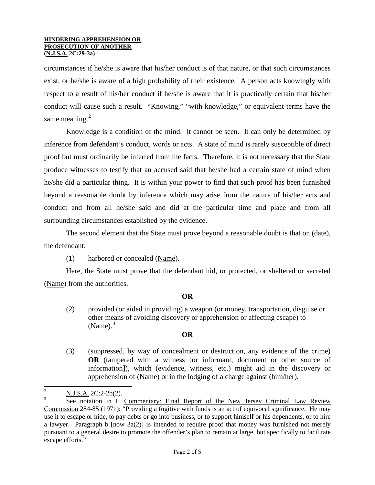circumstances if he/she is aware that his/her conduct is of that nature, or that such circumstances exist, or he/she is aware of a high probability of their existence. A person acts knowingly with respect to a result of his/her conduct if he/she is aware that it is practically certain that his/her conduct will cause such a result. "Knowing," "with knowledge," or equivalent terms have the same meaning. $2$ 

Knowledge is a condition of the mind. It cannot be seen. It can only be determined by inference from defendant's conduct, words or acts. A state of mind is rarely susceptible of direct proof but must ordinarily be inferred from the facts. Therefore, it is not necessary that the State produce witnesses to testify that an accused said that he/she had a certain state of mind when he/she did a particular thing. It is within your power to find that such proof has been furnished beyond a reasonable doubt by inference which may arise from the nature of his/her acts and conduct and from all he/she said and did at the particular time and place and from all surrounding circumstances established by the evidence.

The second element that the State must prove beyond a reasonable doubt is that on (date), the defendant:

(1) harbored or concealed (Name).

Here, the State must prove that the defendant hid, or protected, or sheltered or secreted (Name) from the authorities.

### **OR**

(2) provided (or aided in providing) a weapon (or money, transportation, disguise or other means of avoiding discovery or apprehension or affecting escape) to  $(Name).$ <sup>[3](#page-1-0)</sup>

## **OR**

(3) (suppressed, by way of concealment or destruction, any evidence of the crime) **OR** (tampered with a witness [or informant, document or other source of information]), which (evidence, witness, etc.) might aid in the discovery or apprehension of (Name) or in the lodging of a charge against (him/her).

<span id="page-1-1"></span> $\frac{2}{3}$  N.J.S.A. 2C:2-2b(2).

<span id="page-1-0"></span>See notation in II Commentary: Final Report of the New Jersey Criminal Law Review Commission 284-85 (1971): "Providing a fugitive with funds is an act of equivocal significance. He may use it to escape or hide, to pay debts or go into business, or to support himself or his dependents, or to hire a lawyer. Paragraph b [now 3a(2)] is intended to require proof that money was furnished not merely pursuant to a general desire to promote the offender's plan to remain at large, but specifically to facilitate escape efforts."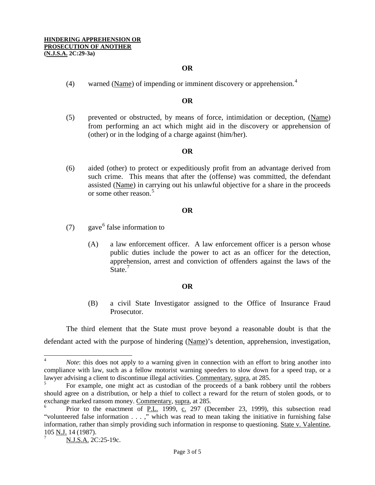### **OR**

([4](#page-1-1)) warned (Name) of impending or imminent discovery or apprehension.<sup>4</sup>

## **OR**

(5) prevented or obstructed, by means of force, intimidation or deception, (Name) from performing an act which might aid in the discovery or apprehension of (other) or in the lodging of a charge against (him/her).

### **OR**

(6) aided (other) to protect or expeditiously profit from an advantage derived from such crime. This means that after the (offense) was committed, the defendant assisted (Name) in carrying out his unlawful objective for a share in the proceeds or some other reason.<sup>[5](#page-2-0)</sup>

#### **OR**

- (7) gave  $6$  false information to
	- (A) a law enforcement officer. A law enforcement officer is a person whose public duties include the power to act as an officer for the detection, apprehension, arrest and conviction of offenders against the laws of the State.<sup>[7](#page-2-2)</sup>

#### **OR**

(B) a civil State Investigator assigned to the Office of Insurance Fraud Prosecutor.

The third element that the State must prove beyond a reasonable doubt is that the defendant acted with the purpose of hindering (Name)'s detention, apprehension, investigation,

<sup>&</sup>lt;sup>4</sup> *Note*: this does not apply to a warning given in connection with an effort to bring another into compliance with law, such as a fellow motorist warning speeders to slow down for a speed trap, or a lawyer advising a client to discontinue illegal activities. Commentary, supra, at 285.

<span id="page-2-0"></span><sup>5</sup> For example, one might act as custodian of the proceeds of a bank robbery until the robbers should agree on a distribution, or help a thief to collect a reward for the return of stolen goods, or to exchange marked ransom money. Commentary, supra, at 285.

<span id="page-2-1"></span>Prior to the enactment of P.L. 1999, c. 297 (December 23, 1999), this subsection read "volunteered false information . . . ," which was read to mean taking the initiative in furnishing false information, rather than simply providing such information in response to questioning. State v. Valentine, 105 N.J. 14 (1987).

<span id="page-2-3"></span><span id="page-2-2"></span>N.J.S.A. 2C:25-19c.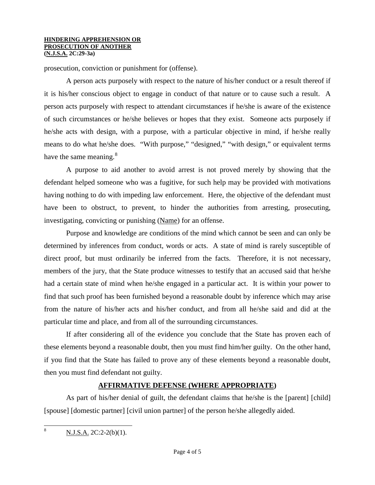prosecution, conviction or punishment for (offense).

A person acts purposely with respect to the nature of his/her conduct or a result thereof if it is his/her conscious object to engage in conduct of that nature or to cause such a result. A person acts purposely with respect to attendant circumstances if he/she is aware of the existence of such circumstances or he/she believes or hopes that they exist. Someone acts purposely if he/she acts with design, with a purpose, with a particular objective in mind, if he/she really means to do what he/she does. "With purpose," "designed," "with design," or equivalent terms have the same meaning. $8^{\circ}$  $8^{\circ}$ 

A purpose to aid another to avoid arrest is not proved merely by showing that the defendant helped someone who was a fugitive, for such help may be provided with motivations having nothing to do with impeding law enforcement. Here, the objective of the defendant must have been to obstruct, to prevent, to hinder the authorities from arresting, prosecuting, investigating, convicting or punishing (Name) for an offense.

Purpose and knowledge are conditions of the mind which cannot be seen and can only be determined by inferences from conduct, words or acts. A state of mind is rarely susceptible of direct proof, but must ordinarily be inferred from the facts. Therefore, it is not necessary, members of the jury, that the State produce witnesses to testify that an accused said that he/she had a certain state of mind when he/she engaged in a particular act. It is within your power to find that such proof has been furnished beyond a reasonable doubt by inference which may arise from the nature of his/her acts and his/her conduct, and from all he/she said and did at the particular time and place, and from all of the surrounding circumstances.

If after considering all of the evidence you conclude that the State has proven each of these elements beyond a reasonable doubt, then you must find him/her guilty. On the other hand, if you find that the State has failed to prove any of these elements beyond a reasonable doubt, then you must find defendant not guilty.

## **AFFIRMATIVE DEFENSE (WHERE APPROPRIATE)**

As part of his/her denial of guilt, the defendant claims that he/she is the [parent] [child] [spouse] [domestic partner] [civil union partner] of the person he/she allegedly aided.

 $8 \text{ N.J.S.A. } 2C:2-2(b)(1).$